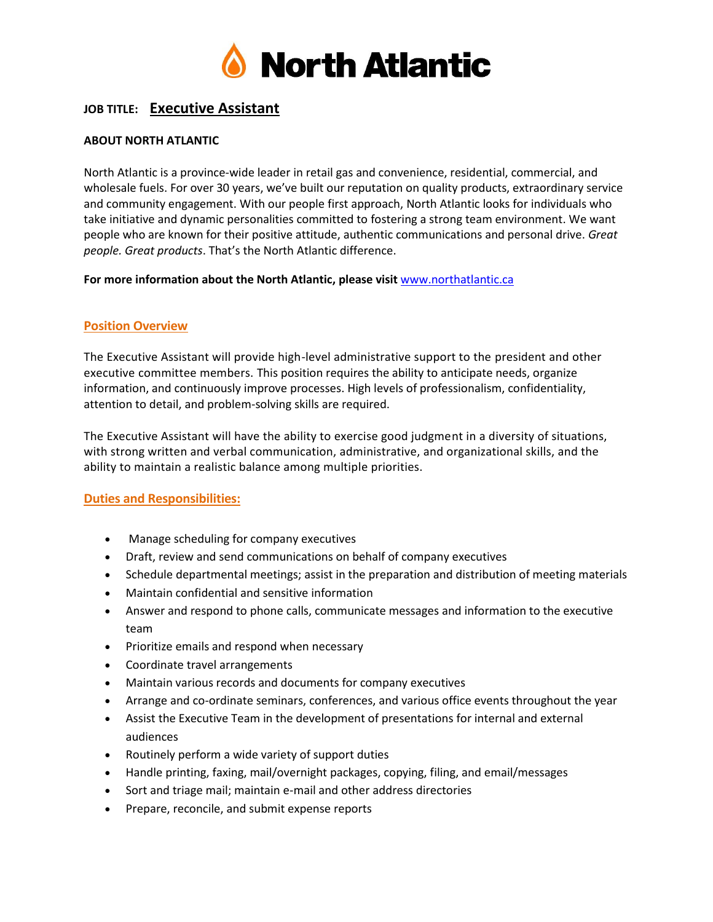

# **JOB TITLE: Executive Assistant**

### **ABOUT NORTH ATLANTIC**

North Atlantic is a province-wide leader in retail gas and convenience, residential, commercial, and wholesale fuels. For over 30 years, we've built our reputation on quality products, extraordinary service and community engagement. With our people first approach, North Atlantic looks for individuals who take initiative and dynamic personalities committed to fostering a strong team environment. We want people who are known for their positive attitude, authentic communications and personal drive. *Great people. Great products*. That's the North Atlantic difference.

#### **For more information about the North Atlantic, please visit** [www.northatlantic.ca](http://www.northatlantic.ca/)

## **Position Overview**

The Executive Assistant will provide high-level administrative support to the president and other executive committee members. This position requires the ability to anticipate needs, organize information, and continuously improve processes. High levels of professionalism, confidentiality, attention to detail, and problem-solving skills are required.

The Executive Assistant will have the ability to exercise good judgment in a diversity of situations, with strong written and verbal communication, administrative, and organizational skills, and the ability to maintain a realistic balance among multiple priorities.

### **Duties and Responsibilities:**

- Manage scheduling for company executives
- Draft, review and send communications on behalf of company executives
- Schedule departmental meetings; assist in the preparation and distribution of meeting materials
- Maintain confidential and sensitive information
- Answer and respond to phone calls, communicate messages and information to the executive team
- Prioritize emails and respond when necessary
- Coordinate travel arrangements
- Maintain various records and documents for company executives
- Arrange and co-ordinate seminars, conferences, and various office events throughout the year
- Assist the Executive Team in the development of presentations for internal and external audiences
- Routinely perform a wide variety of support duties
- Handle printing, faxing, mail/overnight packages, copying, filing, and email/messages
- Sort and triage mail; maintain e-mail and other address directories
- Prepare, reconcile, and submit expense reports